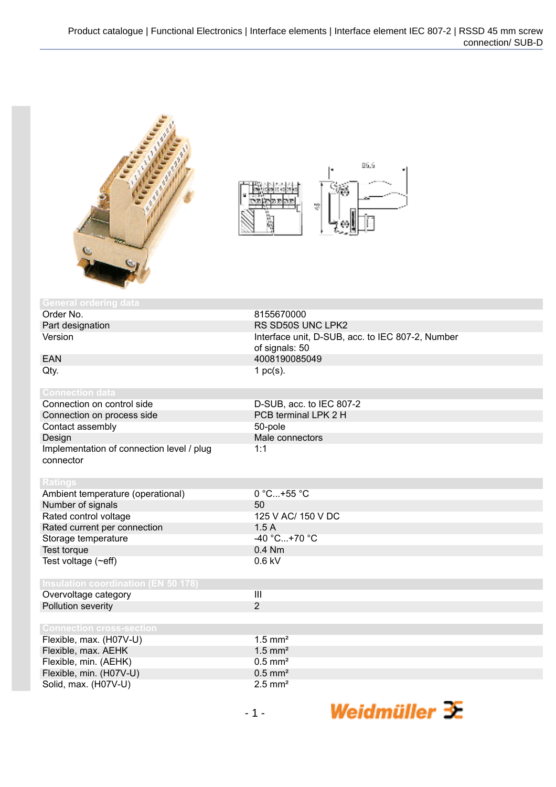



| <b>General ordering data</b>                           |                                                                    |
|--------------------------------------------------------|--------------------------------------------------------------------|
| Order No.                                              | 8155670000                                                         |
| Part designation                                       | RS SD50S UNC LPK2                                                  |
| Version                                                | Interface unit, D-SUB, acc. to IEC 807-2, Number<br>of signals: 50 |
| <b>EAN</b>                                             | 4008190085049                                                      |
| Qty.                                                   | 1 $pc(s)$ .                                                        |
| <b>Connection data</b>                                 |                                                                    |
| Connection on control side                             | D-SUB, acc. to IEC 807-2                                           |
| Connection on process side                             | PCB terminal LPK 2 H                                               |
| Contact assembly                                       | 50-pole                                                            |
| Design                                                 | Male connectors                                                    |
| Implementation of connection level / plug<br>connector | 1:1                                                                |
| <b>Ratings</b>                                         |                                                                    |
| Ambient temperature (operational)                      | $0 °C+55 °C$                                                       |
| Number of signals                                      | 50                                                                 |
| Rated control voltage                                  | 125 V AC/ 150 V DC                                                 |
| Rated current per connection                           | 1.5A                                                               |
| Storage temperature                                    | $-40 °C+70 °C$                                                     |
| Test torque                                            | $0.4$ Nm                                                           |
| Test voltage (~eff)                                    | $0.6$ kV                                                           |
| <b>Insulation coordination (EN 50 178)</b>             |                                                                    |
| Overvoltage category                                   | $\mathbf{III}$                                                     |
| Pollution severity                                     | $\overline{2}$                                                     |
|                                                        |                                                                    |
| <b>Connection cross-section</b>                        |                                                                    |
| Flexible, max. (H07V-U)                                | $1.5$ mm <sup>2</sup>                                              |
| Flexible, max. AEHK                                    | $1.5$ mm <sup>2</sup>                                              |
| Flexible, min. (AEHK)                                  | $0.5$ mm <sup>2</sup>                                              |
| Flexible, min. (H07V-U)                                | $0.5$ mm <sup>2</sup>                                              |
| Solid, max. (H07V-U)                                   | $2.5$ mm <sup>2</sup>                                              |
|                                                        |                                                                    |

Weidmüller 3E